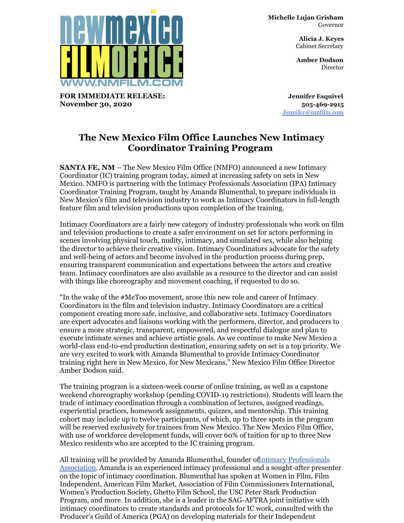

**FOR IMMEDIATE RELEASE: November 30, 2020**

**Michelle Lujan Grisham** Governor

> **Alicia J. Keyes** Cabinet Secretary

> **Amber Dodson Director**

**Jennifer Esquivel 505-469-2915** [Jennifer@nmfilm.com](mailto:jennifer@nmfilm.com)

## **The New Mexico Film Office Launches New Intimacy Coordinator Training Program**

**SANTA FE, NM** – The New Mexico Film Office (NMFO) announced a new Intimacy Coordinator (IC) training program today, aimed at increasing safety on sets in New Mexico. NMFO is partnering with the Intimacy Professionals Association (IPA) Intimacy Coordinator Training Program, taught by Amanda Blumenthal, to prepare individuals in New Mexico's film and television industry to work as Intimacy Coordinators in full-length feature film and television productions upon completion of the training.

Intimacy Coordinators are a fairly new category of industry professionals who work on film and television productions to create a safer environment on set for actors performing in scenes involving physical touch, nudity, intimacy, and simulated sex, while also helping the director to achieve their creative vision. Intimacy Coordinators advocate for the safety and well-being of actors and become involved in the production process during prep, ensuring transparent communication and expectations between the actors and creative team. Intimacy coordinators are also available as a resource to the director and can assist with things like choreography and movement coaching, if requested to do so.

"In the wake of the #MeToo movement, arose this new role and career of Intimacy Coordinators in the film and television industry. Intimacy Coordinators are a critical component creating more safe, inclusive, and collaborative sets. Intimacy Coordinators are expert advocates and liaisons working with the performers, director, and producers to ensure a more strategic, transparent, empowered, and respectful dialogue and plan to execute intimate scenes and achieve artistic goals. As we continue to make New Mexico a world-class end-to-end production destination, ensuring safety on set is a top priority. We are very excited to work with Amanda Blumenthal to provide Intimacy Coordinator training right here in New Mexico, for New Mexicans," New Mexico Film Office Director Amber Dodson said.

The training program is a sixteen-week course of online training, as well as a capstone weekend choreography workshop (pending COVID-19 restrictions). Students will learn the trade of intimacy coordination through a combination of lectures, assigned readings, experiential practices, homework assignments, quizzes, and mentorship. This training cohort may include up to twelve participants, of which, up to three spots in the program will be reserved exclusively for trainees from New Mexico. The New Mexico Film Office, with use of workforce development funds, will cover 60% of tuition for up to three New Mexico residents who are accepted to the IC training program.

All training will be provided by Amanda Blumenthal, founder of Intimacy [Professionals](https://www.intimacycoordinator.com/) Association. Amanda is an experienced intimacy professional and a sought-after presenter on the topic of intimacy coordination. Blumenthal has spoken at Women in Film, Film Independent, American Film Market, Association of Film Commissioners International, Women's Production Society, Ghetto Film School, the USC Peter Stark Production Program, and more. In addition, she is a leader in the SAG-AFTRA joint initiative with intimacy coordinators to create standards and protocols for IC work, consulted with the Producer's Guild of America (PGA) on developing materials for their Independent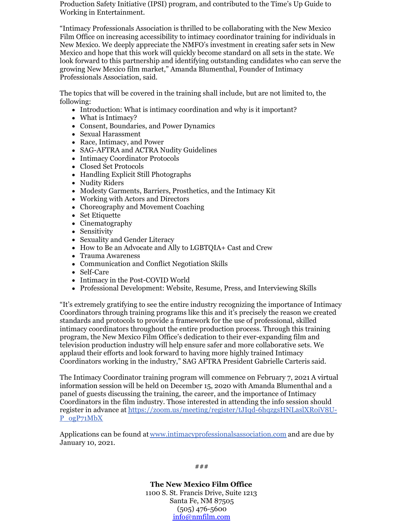Production Safety Initiative (IPSI) program, and contributed to the Time's Up Guide to Working in Entertainment.

"Intimacy Professionals Association is thrilled to be collaborating with the New Mexico Film Office on increasing accessibility to intimacy coordinator training for individuals in New Mexico. We deeply appreciate the NMFO's investment in creating safer sets in New Mexico and hope that this work will quickly become standard on all sets in the state. We look forward to this partnership and identifying outstanding candidates who can serve the growing New Mexico film market," Amanda Blumenthal, Founder of Intimacy Professionals Association, said.

The topics that will be covered in the training shall include, but are not limited to, the following:

- Introduction: What is intimacy coordination and why is it important?
- What is Intimacy?
- Consent, Boundaries, and Power Dynamics
- Sexual Harassment
- Race, Intimacy, and Power
- SAG-AFTRA and ACTRA Nudity Guidelines
- Intimacy Coordinator Protocols
- Closed Set Protocols
- Handling Explicit Still Photographs
- Nudity Riders
- Modesty Garments, Barriers, Prosthetics, and the Intimacy Kit
- Working with Actors and Directors
- Choreography and Movement Coaching
- Set Etiquette
- Cinematography
- Sensitivity
- Sexuality and Gender Literacy
- How to Be an Advocate and Ally to LGBTQIA+ Cast and Crew
- Trauma Awareness
- Communication and Conflict Negotiation Skills
- Self-Care
- Intimacy in the Post-COVID World
- Professional Development: Website, Resume, Press, and Interviewing Skills

"It's extremely gratifying to see the entire industry recognizing the importance of Intimacy Coordinators through training programs like this and it's precisely the reason we created standards and protocols to provide a framework for the use of professional, skilled intimacy coordinators throughout the entire production process. Through this training program, the New Mexico Film Office's dedication to their ever-expanding film and television production industry will help ensure safer and more collaborative sets. We applaud their efforts and look forward to having more highly trained Intimacy Coordinators working in the industry," SAG AFTRA President Gabrielle Carteris said.

The Intimacy Coordinator training program will commence on February 7, 2021. A virtual information session will be held on December 15, 2020 with Amanda Blumenthal and a panel of guests discussing the training, the career, and the importance of Intimacy Coordinators in the film industry. Those interested in attending the info session should register in advance at [https://zoom.us/meeting/register/tJIqd-6hqzgsHNLaslXRoiV8U-](https://zoom.us/meeting/register/tJIqd-6hqzgsHNLaslXRoiV8U-P_ogP71MbX)P\_ogP71MbX

Applications can be found at [www.intimacyprofessionalsassociation.com](http://www.intimacyprofessionalsassociation.com) and are due by January 10, 2021.

> **The New Mexico Film Office** 1100 S. St. Francis Drive, Suite 1213 Santa Fe, NM 87505 (505) 476-5600 [info@nmfilm.com](mailto:info@nmfilm.com)

###